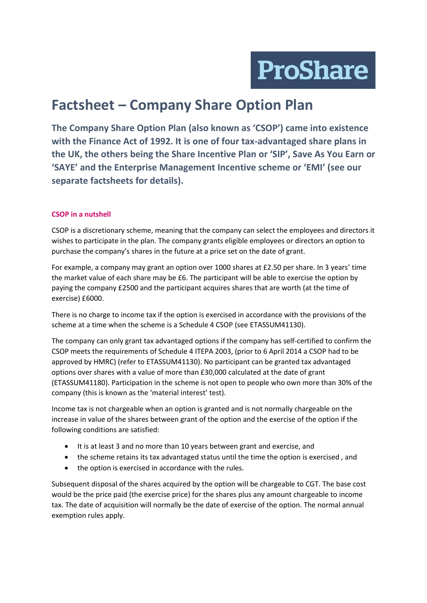

# **Factsheet – Company Share Option Plan**

**The Company Share Option Plan (also known as 'CSOP') came into existence with the Finance Act of 1992. It is one of four tax-advantaged share plans in the UK, the others being the Share Incentive Plan or 'SIP', Save As You Earn or 'SAYE' and the Enterprise Management Incentive scheme or 'EMI' (see our separate factsheets for details).** 

## **CSOP in a nutshell**

CSOP is a discretionary scheme, meaning that the company can select the employees and directors it wishes to participate in the plan. The company grants eligible employees or directors an option to purchase the company's shares in the future at a price set on the date of grant.

For example, a company may grant an option over 1000 shares at £2.50 per share. In 3 years' time the market value of each share may be £6. The participant will be able to exercise the option by paying the company £2500 and the participant acquires shares that are worth (at the time of exercise) £6000.

There is no charge to income tax if the option is exercised in accordance with the provisions of the scheme at a time when the scheme is a Schedule 4 CSOP (see ETASSUM41130).

The company can only grant tax advantaged options if the company has self-certified to confirm the CSOP meets the requirements of Schedule 4 ITEPA 2003, (prior to 6 April 2014 a CSOP had to be approved by HMRC) (refer to ETASSUM41130). No participant can be granted tax advantaged options over shares with a value of more than £30,000 calculated at the date of grant (ETASSUM41180). Participation in the scheme is not open to people who own more than 30% of the company (this is known as the 'material interest' test).

Income tax is not chargeable when an option is granted and is not normally chargeable on the increase in value of the shares between grant of the option and the exercise of the option if the following conditions are satisfied:

- It is at least 3 and no more than 10 years between grant and exercise, and
- the scheme retains its tax advantaged status until the time the option is exercised , and
- the option is exercised in accordance with the rules.

Subsequent disposal of the shares acquired by the option will be chargeable to CGT. The base cost would be the price paid (the exercise price) for the shares plus any amount chargeable to income tax. The date of acquisition will normally be the date of exercise of the option. The normal annual exemption rules apply.